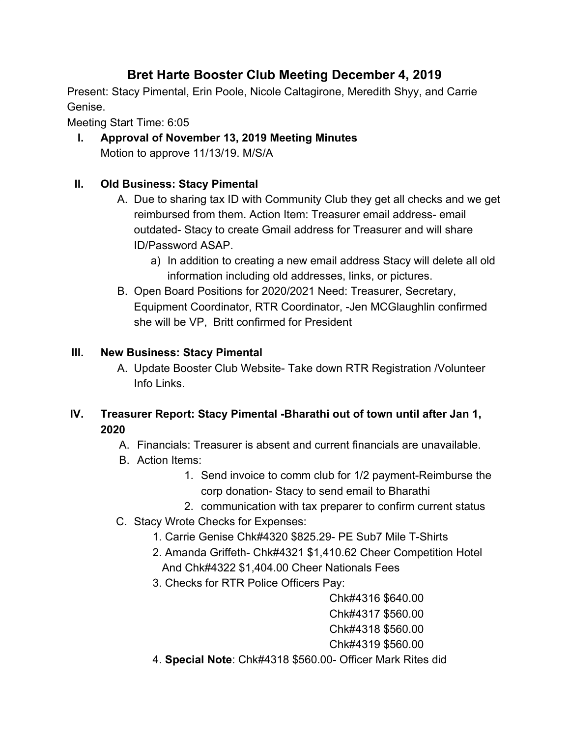# **Bret Harte Booster Club Meeting December 4, 2019**

Present: Stacy Pimental, Erin Poole, Nicole Caltagirone, Meredith Shyy, and Carrie Genise.

Meeting Start Time: 6:05

**I. Approval of November 13, 2019 Meeting Minutes** Motion to approve 11/13/19. M/S/A

## **II. Old Business: Stacy Pimental**

- A. Due to sharing tax ID with Community Club they get all checks and we get reimbursed from them. Action Item: Treasurer email address- email outdated- Stacy to create Gmail address for Treasurer and will share ID/Password ASAP.
	- a) In addition to creating a new email address Stacy will delete all old information including old addresses, links, or pictures.
- B. Open Board Positions for 2020/2021 Need: Treasurer, Secretary, Equipment Coordinator, RTR Coordinator, -Jen MCGlaughlin confirmed she will be VP, Britt confirmed for President

### **III. New Business: Stacy Pimental**

A. Update Booster Club Website- Take down RTR Registration /Volunteer Info Links.

## **IV. Treasurer Report: Stacy Pimental -Bharathi out of town until after Jan 1, 2020**

- A. Financials: Treasurer is absent and current financials are unavailable.
- B. Action Items:
	- 1. Send invoice to comm club for 1/2 payment-Reimburse the corp donation- Stacy to send email to Bharathi
	- 2. communication with tax preparer to confirm current status
- C. Stacy Wrote Checks for Expenses:
	- 1. Carrie Genise Chk#4320 \$825.29- PE Sub7 Mile T-Shirts
	- 2. Amanda Griffeth- Chk#4321 \$1,410.62 Cheer Competition Hotel And Chk#4322 \$1,404.00 Cheer Nationals Fees
	- 3. Checks for RTR Police Officers Pay:

Chk#4316 \$640.00

Chk#4317 \$560.00

Chk#4318 \$560.00

Chk#4319 \$560.00

4. **Special Note**: Chk#4318 \$560.00- Officer Mark Rites did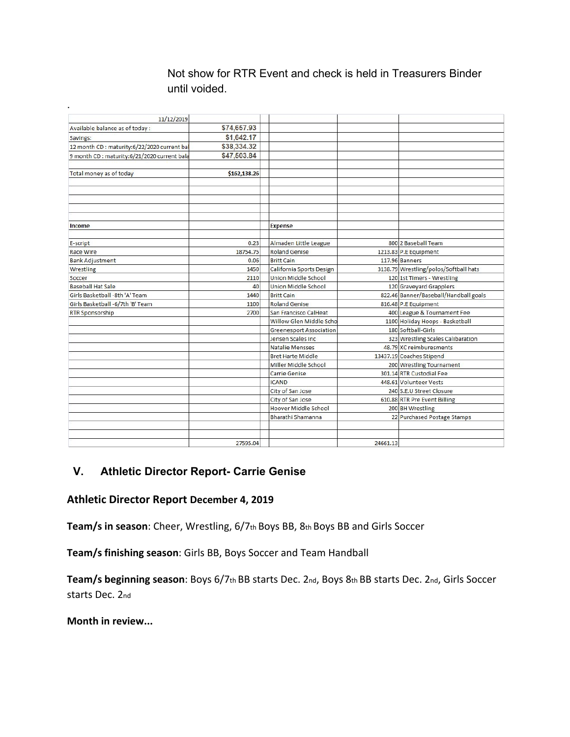### Not show for RTR Event and check is held in Treasurers Binder until voided.

| 11/12/2019                                   |              |                                |          |                                       |
|----------------------------------------------|--------------|--------------------------------|----------|---------------------------------------|
| Available balance as of today:               | \$74,657.93  |                                |          |                                       |
| Savings:                                     | \$1,642.17   |                                |          |                                       |
| 12 month CD : maturity:6/22/2020 current bal | \$38,334.32  |                                |          |                                       |
| 9 month CD : maturity:6/21/2020 current bala | \$47,503.84  |                                |          |                                       |
|                                              |              |                                |          |                                       |
| Total money as of today                      | \$162,138.26 |                                |          |                                       |
|                                              |              |                                |          |                                       |
|                                              |              |                                |          |                                       |
|                                              |              |                                |          |                                       |
|                                              |              |                                |          |                                       |
|                                              |              |                                |          |                                       |
| Income                                       |              | <b>Expense</b>                 |          |                                       |
|                                              |              |                                |          |                                       |
| E-script                                     | 0.23         | Almaden Little League          |          | 800 2 Baseball Team                   |
| <b>Race Wire</b>                             | 18754.75     | <b>Roland Genise</b>           |          | 1213.83 P.E Equipment                 |
| <b>Bank Adjustment</b>                       | 0.06         | <b>Britt Cain</b>              |          | 117.96 Banners                        |
| Wrestling                                    | 1450         | California Sports Design       |          | 3138.79 Wrestling/polos/Softball hats |
| Soccer                                       | 2110         | <b>Union Middle School</b>     |          | 120 1st Timers - Wrestling            |
| <b>Baseball Hat Sale</b>                     | 40           | <b>Union Middle School</b>     |          | 120 Graveyard Grapplers               |
| Girls Basketball -8th 'A' Team               | 1440         | <b>Britt Cain</b>              |          | 822.46 Banner/Baseball/Handball goals |
| Girls Basketball - 6/7th 'B' Team            | 1100         | <b>Roland Genise</b>           |          | 816.48 P.E Equipment                  |
| <b>RTR Sponsorship</b>                       | 2700         | San Francisco CalHeat          |          | 400 League & Tournament Fee           |
|                                              |              | Willow Glen Middle Scho        |          | 1100 Holiday Hoops - Basketball       |
|                                              |              | <b>Greenesport Association</b> |          | 180 Softball-Girls                    |
|                                              |              | Jensen Scales Inc              |          | 323 Wrestling Scales Calibaration     |
|                                              |              | <b>Natalie Mensses</b>         |          | 48.79 XC reimburesments               |
|                                              |              | <b>Bret Harte Middle</b>       |          | 13437.19 Coaches Stipend              |
|                                              |              | Miller Middle School           |          | 200 Wrestling Tournament              |
|                                              |              | Carrie Genise                  |          | 301.14 RTR Custodial Fee              |
|                                              |              | <b>ICAND</b>                   |          | 448.61 Volunteer Vests                |
|                                              |              | City of San Jose               |          | 240 S.E.U Street Closure              |
|                                              |              | City of San Jose               |          | 610.88 RTR Pre Event Billing          |
|                                              |              | Hoover Middle School           |          | 200 BH Wrestling                      |
|                                              |              | Bharathi Shamanna              |          | 22 Purchased Postage Stamps           |
|                                              |              |                                |          |                                       |
|                                              |              |                                |          |                                       |
|                                              | 27595.04     |                                | 24661.13 |                                       |

### **V. Athletic Director Report- Carrie Genise**

### **Athletic Director Report December 4, 2019**

**Team/s in season**: Cheer, Wrestling, 6/7th Boys BB, 8th Boys BB and Girls Soccer

**Team/s finishing season**: Girls BB, Boys Soccer and Team Handball

**Team/s beginning season**: Boys 6/7th BB starts Dec. 2nd, Boys 8th BB starts Dec. 2nd, Girls Soccer starts Dec. 2nd

**Month in review...**

.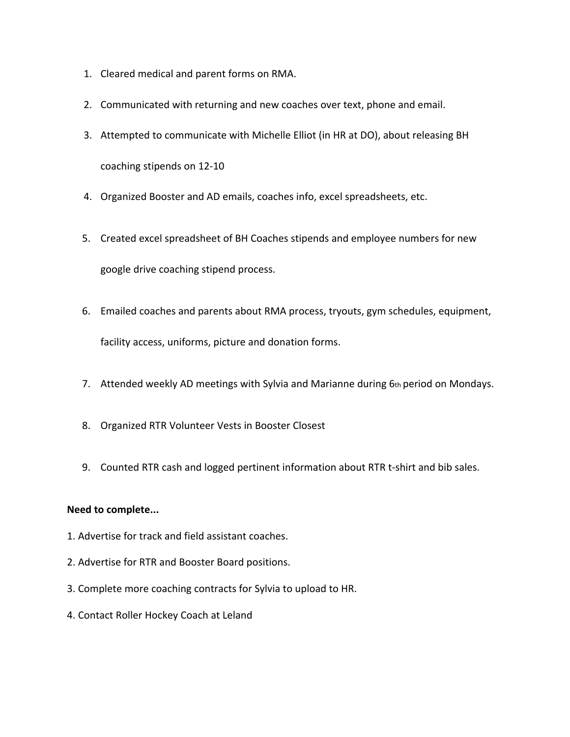- 1. Cleared medical and parent forms on RMA.
- 2. Communicated with returning and new coaches over text, phone and email.
- 3. Attempted to communicate with Michelle Elliot (in HR at DO), about releasing BH coaching stipends on 12-10
- 4. Organized Booster and AD emails, coaches info, excel spreadsheets, etc.
- 5. Created excel spreadsheet of BH Coaches stipends and employee numbers for new google drive coaching stipend process.
- 6. Emailed coaches and parents about RMA process, tryouts, gym schedules, equipment, facility access, uniforms, picture and donation forms.
- 7. Attended weekly AD meetings with Sylvia and Marianne during 6th period on Mondays.
- 8. Organized RTR Volunteer Vests in Booster Closest
- 9. Counted RTR cash and logged pertinent information about RTR t-shirt and bib sales.

#### **Need to complete...**

- 1. Advertise for track and field assistant coaches.
- 2. Advertise for RTR and Booster Board positions.
- 3. Complete more coaching contracts for Sylvia to upload to HR.
- 4. Contact Roller Hockey Coach at Leland